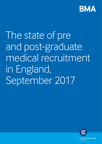

# The state of pre and post-graduate medical recruitment in England, September 2017



**British Medical Association** bma.org.uk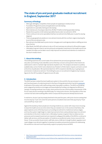# **The state of pre and post-graduate medical recruitment in England, September 2017**

# **Summary of findings**

- Although still highly competitive, fewer people are applying to medical school
- Foundation Programme posts and applications are decreasing
- Applications to specialty training are decreasing
- More trainees are choosing to take time off after F2 before entering specialty training
- Nearly three quarters of all medical specialties faced under-recruitment in 2016
- There continue to be some specialties that face recruitment shortfalls year on year (to varying degrees)
- There are geographical variations in recruitment trends with the northern regions bearing the brunt of the recruitment crisis
- Recruitment shortfalls lead to junior doctor rota gaps and could signal problems staffing services down the line
- After Brexit, the NHS will continue to rely on EU and overseas recruitment to fill workforce gaps
- Ultimately, long-term fixes to service pressures and greater investment in the health service are needed, but steps can be taken now to help improve recruitment and retention to medicine in the short-medium term

# **1. About this briefing**

This briefing examines the current state of recruitment into pre and post graduate medical education and training. It also identifies some of the key concerns and questions that need to be addressed in order to maintain high standards of patient care. The analyses are based on publicly available data, some of which were obtained via a Freedom of Information request, and were current at the time of publication. We examined data from 2013 onwards to identify any on-going issues and trends in medical recruitment. The briefing focuses on recruitment in England only, however, figures for the UK Foundation Programme are UK-wide.

# **2. Introduction**

The NHS has been ranked the best healthcare system in the world for the second year in a row<sup>1</sup>, yet it has faced years of underinvestment in the face of rising demand which has led to [pressures](https://www.bma.org.uk/collective-voice/policy-and-research/nhs-structure-and-delivery/pressure-points-in-the-nhs) at all levels of the system with staff working under impossible conditions. The NHS is at breaking point, plagued by workforce shortages and exacerbated by funding cuts disguised as efficiency savings. Increasing workload, low morale, stress and burnout are unfortunately characteristic of life for too many doctors working in the NHS today. For many junior doctors, the imposition of the new contract has had a demoralising effect which compounds the pressures already faced at work.

In real terms, doctors' pay has sharply declined in the past five years, with junior doctors seeing their income drop by 17 per cent. Over the same period consultants have seen their pay drop by 14 per cent and GPs by 13 per cent.<sup>2</sup>

Against this backdrop, fewer people are choosing medicine as a career with many more choosing to leave the health service at a time when they are needed most. In the sections that follow, this paper explores some of the key issues surrounding recruitment to medicine at various stages, and how the system might begin to make improvements that could positively impact recruitment and retention in the short-medium term. Ultimately, however, long term fixes to relieve service pressures and increased investment are required to safeguard the ability of the NHS to continue to deliver safe services, and the perception of medicine as a preferred career choice now and in the future. To be successful, Government, staff side unions, ALBs (arm's length bodies), regulators and royal colleges must all work together to develop innovative and practical solutions for addressing the workforce crisis and most importantly, support a properly resourced NHS.

2 <https://www.bma.org.uk/collective-voice/influence/key-negotiations/doctors-pay/pay-negotiations>

<sup>1</sup> [http://www.commonwealthfund.org/publications/fund-reports/2017/jul/mirror-mirror-international](http://www.commonwealthfund.org/publications/fund-reports/2017/jul/mirror-mirror-international-comparisons-2017)[comparisons-2017](http://www.commonwealthfund.org/publications/fund-reports/2017/jul/mirror-mirror-international-comparisons-2017)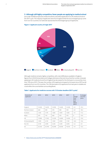### **3. Although still highly competitive, fewer people are applying to medical school**

Just under 20,000 prospective medical students submitted applications to UK medical schools in the 2017 cycle. The majority of applicants were from England while the second largest group came from non-EU countries. EU nationals represented the third largest group of applicants.



### **Figure 1. Applicant country of origin 2017**

Although medicine remains highly competitive, with only 6,000 places available in England, figures from UCAS (Universities and Colleges Admissions Service) show that the number of people applying to UK medical schools from England has decreased for the third year in a row and by more than 15% since 2013. This year, the number of EU applicants dropped to its lowest since 2013 as did applicants from non-EU countries. The 16% decrease in EU applicants from last year is notable and could reflect the uncertainties surrounding Brexit.

| Domicile of<br>applicant | 2013   | 2014   | 2015   | 2016   | 2017   | $\frac{9}{6}$<br>change<br>from<br>prior<br>year<br>$(2016 -$<br>2017) | % change<br>over five<br>years |
|--------------------------|--------|--------|--------|--------|--------|------------------------------------------------------------------------|--------------------------------|
| England                  | 14,520 | 14,670 | 12,930 | 12,620 | 12,320 | $-2.4$                                                                 | $-15.2$                        |
| Northern Ireland         | 660    | 590    | 570    | 580    | 540    | $-6.9$                                                                 | $-18.2$                        |
| Scotland                 | 1.160  | 1.170  | 1,060  | 1,050  | 1.030  | $-1.9$                                                                 | $-11.2$                        |
| Wales                    | 670    | 710    | 660    | 570    | 570    | $\mathbf{O}$                                                           | $-14.9$                        |
| UK                       | 17,000 | 17,140 | 15,220 | 14,820 | 14,450 | $-2.5$                                                                 | $-15.0$                        |
| EU (excluding UK)        | 1,990  | 2,110  | 1,940  | 2,050  | 1,720  | $-16.0$                                                                | $-13.6$                        |
| Non-EU                   | 3,130  | 3,490  | 3,230  | 3,240  | 3,040  | $-6.2$                                                                 | $-2.9$                         |
| All                      | 22,130 | 22,740 | 20,390 | 20,100 | 19,210 | $-4.4$                                                                 | $-13.2$                        |

### **Table 1. Applicants for medicine courses with 15 October deadline (2017 cycle).3**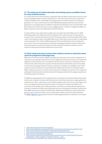# **3.1 The rising cost of medical education and training may be a prohibitive factor for many would-be doctors**

For many prospective medical students, rising tuition fees and higher student debt could be a major factor in deciding whether to attend medical school. Tuition fees were previously increased from £3,000 to £9,000 in 2012, substantially increasing the amount of debt students carry following graduation. For many, student debt can exceed £80,000 (including maintenance) and medical graduates on an average salary are unlikely to repay their SLC (Student Loans Company) debt in full.4 With student loan interest rates set to rise to a staggering 6.1%, $^5$  students in England and Wales are likely to experience even more difficulty with debt in the future.

To make matters worse, tuition fees are again set to increase in line with inflation prior to 2020 following passage of the Higher Education and Research Act<sup>6</sup> earlier this year. As proposed, the increase in fees could then be linked to the TEF (Teaching Excellence Framework) after 2020, which could, in the long-term, lead to noticeable differences in tuition fees across providers. In responding to the proposal for TEF in 2016, the BMA argued that TEF would effectively need to be tailored to each course. Hence, the whole approach could risk misleading prospective medical students and further disrupt the successful recruitment of medical students needed to meet the country's workforce requirements and their distribution across the UK.

# **3.2 More needs to be done to ensure that medicine remains an attractive career choice for people from all backgrounds**

While entry to medicine remains highly competitive, the decrease in the number of applications to medical courses rings alarm bells. Doctors work in highly pressurised environments and experience high levels of stress and burnout. The realities of this are not lost on those just starting out in their medical careers. More than three-quarters of medical students said that they were now less likely to recommend studying medicine to friends and family, according to a recent BMA survey.7 More needs to be done to help doctors stay healthy while dealing with the stress of working in today's NHS if medical schools are to continue to attract the best candidates (see section 5.5 on health and wellbeing). Potential students should not be put off studying medicine by the negative experiences of existing students and doctors.

The BMA has long argued that the medical profession should be more representative of the people that it serves. However, in the past, half of all schools in the UK did not produce a single applicant to medicine and, in 2011, only four per cent of medical students came from low income backgrounds.<sup>8</sup> It is encouraging that the Government has made a commitment<sup>9</sup> to widen participation and incentivise social mobility in the medical profession, but efforts to increase diversity appear to be slowing. For example, the GMC reports that fewer women are studying and training in medicine and fewer BME trainees are working in the NHS today.10 Widening participation by under-represented groups is key to a diverse workforce and would positively impact recruitment to the profession. The [BMA's 'Right Mix' report](https://www.bma.org.uk/features/therightmix/) explores the issue of widening participation in medicine in more detail.

- 4 <http://bmjopen.bmj.com/content/5/4/e007335>
- 5 <https://www.theguardian.com/money/2017/apr/11/student-loan-interest-rate-rise-uk-inflation-brexit>
- 6 http://services.parlia[ment.uk/bills/2016-17/highereducationandresearch.html](http://services.parliament.uk/bills/2016-17/highereducationandresearch.html)
- 7 https://www.[bma.org.uk/news/2016/april/study-shows-student-dismay-over-contract](https://www.bma.org.uk/news/2016/april/study-shows-student-dismay-over-contract)
- 8 https:/[/www.bma.org.uk/features/therightmix/](https://www.bma.org.uk/features/therightmix/)
- 9 https:[//www.gov.uk/government/uploads/system/uploads/attachment\\_data/file/636527/Expansion\\_](https://www.gov.uk/government/uploads/system/uploads/attachment_data/file/636527/Expansion_undergraduate_medical_education_consulation-response__2_.pdf) [undergraduate\\_medical\\_education\\_consulation-response\\_\\_2\\_.pdf](https://www.gov.uk/government/uploads/system/uploads/attachment_data/file/636527/Expansion_undergraduate_medical_education_consulation-response__2_.pdf)
- 10 http://w[ww.gmc-uk.org/SoMEP\\_2016\\_Chapter\\_two.pdf\\_68136455.pdf](http://www.gmc-uk.org/SoMEP_2016_Chapter_two.pdf_68136455.pdf)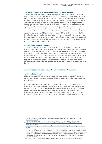# **3.3 Medical school places in England will increase next year**

The UK Government recently announced plans to increase the number of places at medical schools in England by 1,500 beginning in 2018/19.<sup>11</sup> This expansion is an effort to increase the UK's supply of home grown doctors so that the NHS can continue to deliver safe and effective care. However, the BMA has cautioned that the new places must also be matched with additional foundation and subsequent specialty training posts to mitigate the risk of unemployment within the medical profession. While the expansion might be considered a positive step toward addressing workforce shortages, Medical Schools Council data shows that there are fewer medical academics than there were in 201312, meaning there are fewer people to educate the increased numbers of medical students. These numbers could shrink even further if EU academics find it more difficult to live and work in the UK following Brexit. Additionally, it takes more than 10 years after selection for medical school for the prospective medical student to reach a level of training appropriate for independent practice, thus increasing medical school places is going to have little immediate impact on current pressures and workforce gaps.

### *International medical students*

The Government has also announced plans to lift the current cap on the number of international students that can be recruited by UK universities.13 Although this could ensure a reliable flow of students, removing the cap could create a perverse financial incentive for universities to attract more international medical students resulting either in an imbalance in the makeup of the future medical workforce or a failure to meet the workforce objectives of the expansion of medical student numbers. The BMA has advocated<sup>14</sup> that safeguards be put in place to protect against such an imbalance. Furthermore, more international graduates will have very little impact on the workforce if they are not permitted to remain in the UK.

### **4. Fewer people are applying to the UK Foundation Programme**

### **4.1 Foundation year 1**

2016 had the lowest number of applicants and the fewest appointments to F1 posts via the national allocation process since 2013. The reasons behind the fall in numbers are not entirely clear.

Most foundation doctors are allocated via a national allocation process. However, not included in that process are those transferring from another foundation school, academic foundation posts, LTFT (less than full time) trainees who were recruited the previous year, those trainees who are repeating their F1 year, and those recruited by other methods including one-year posts, returners from maternity leave and supernumerary<sup>15</sup> flexible trainees 16. These posts are all included in the final recruitment figure for the year (Table 2).

- 11 [https://www.gov.uk/government/uploads/system/uploads/attachment\\_data/file/600835/Medical\\_](https://www.gov.uk/government/uploads/system/uploads/attachment_data/file/600835/Medical_expansion_rev_A.pdf) [expansion\\_rev\\_A.pdf](https://www.gov.uk/government/uploads/system/uploads/attachment_data/file/600835/Medical_expansion_rev_A.pdf)
- 12 <https://www.medschools.ac.uk/media/2026/medical-clinical-academic-staffing-levels-2017.pdf>
- 13 [https://www.gov.uk/government/uploads/system/uploads/attachment\\_data/file/600835/Medical\\_](https://www.gov.uk/government/uploads/system/uploads/attachment_data/file/600835/Medical_expansion_rev_A.pdf) [expansion\\_rev\\_A.pdf](https://www.gov.uk/government/uploads/system/uploads/attachment_data/file/600835/Medical_expansion_rev_A.pdf)
- 14 [https://www.bma.org.uk/news/2014/august/bma-urges-caution-following-call-to-relax-cap-on-overseas](https://www.bma.org.uk/news/2014/august/bma-urges-caution-following-call-to-relax-cap-on-overseas-students)[students](https://www.bma.org.uk/news/2014/august/bma-urges-caution-following-call-to-relax-cap-on-overseas-students)
- 15 Supernumerary posts are additional to a normal complement of trainees and so are often the ideal posts for LTFT trainees. As these posts are not dependent on finding someone else to take the other half or make up the other hours, they allow more independence of choice. Increasingly however they are only offered for those who require LTFT at short notice and many employers no longer offer supernumerary posts as a standard form of training, but this does not preclude a trainee from requesting a supernumerary post (source: [BMA Less Than](https://www.bma.org.uk/advice/career/applying-for-training/flexible-training)  [Full Time Guidance\)](https://www.bma.org.uk/advice/career/applying-for-training/flexible-training).

16 UKFPO Annual Report 2016.<http://www.foundationprogramme.nhs.uk/pages/resource-bank/general>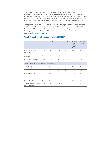The number of newly qualified doctors recruited to the AFP (Academic Foundation Programme) has fallen slightly over the past three years. The number of LTFT foundation doctors recruited was less than half of what it was in 2013. The number of foundation doctors repeating their F1 year has remained steady over the past few years. Meanwhile, recruitment by other methods has increased three-fold since 2013, although numbers remain small.

The figures reported at the end of the national recruitment process don't always match the number of foundation doctors who start in post. This, according to UKFPO (UK Foundation Programme Office), is due to the fact that some withdraw from the programme before training commences at the start of August. Any posts remaining vacant are then advertised as one-year locum appointments.

|                                                        | 2013 <sup>1</sup> | $2014^2$ | $2015^3$       | 2016 <sup>4</sup> | % change<br>from<br>prior year<br>$(2015 -$<br>2016) | % change<br>over four<br>years |  |  |
|--------------------------------------------------------|-------------------|----------|----------------|-------------------|------------------------------------------------------|--------------------------------|--|--|
| Vacancies advertised<br>(excluding AFP)                | 7,242             | 7,114    | 7,086          | 7,112             | $+0.4$                                               | $-1.8$                         |  |  |
| Applications at the time of<br>allocation              | 7.537             | 7.349    | 7.438          | 7.157             | $-3.1$                                               | $-2.8$                         |  |  |
| Appointed through national<br>allocation process       | 7.123             | 7.006    | 7.148          | 6.923             | $-3.3$                                               | $-3.2$                         |  |  |
| Posts not included in the national allocation process: |                   |          |                |                   |                                                      |                                |  |  |
| Transfer from another<br>foundation school             | 25                | 40       | 13             | 16                | $+23.0$                                              | $-36.0$                        |  |  |
| Academic recruitment                                   | 480               | 462      | 476            | 465               | $-2.3$                                               | $-3.1$                         |  |  |
| LTFT (recruited previous<br>year)                      | 51                | 86       | 55             | 21                | $-61.8$                                              | $-58.8$                        |  |  |
| Repeating F1                                           | 80                | 63       | 65             | 64                | $-1.5$                                               | $-20.0$                        |  |  |
| Recruited via other method                             | 12                | $\circ$  | $\overline{4}$ | 34                | $+750$                                               | $+183.3$                       |  |  |
| Total recruitment (including<br>national allocation)   | 7,771             | 7,657    | 7,761          | 7,523             | $-3.1$                                               | $-3.2$                         |  |  |

# **Table 2. Foundation year 1 recruitment statistics 2013-2017**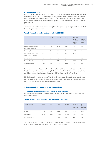### **4.2 Foundation year 2**

In 2016, the number of foundation doctors beginning the second year of their two-year foundation training was higher than in the previous year and higher than in 2013. However, total recruitment to F2 has fallen by almost three per cent since 2013. In 2016, those recruited to the second year of AFP also fell from previous years and those appointed to one-year F2 posts decreased from the previous year.

The number of foundation doctors repeating their F2 year, however, was significantly lower in 2016 than in the previous three years.

# **Table 3. Foundation year 2 recruitment statistics 2013-2016**

|                                                       | $2013^5$ | $2014^6$ | $2015^7$ | $2016^8$ | % change<br>from<br>prior year<br>$(2015 -$<br>2016) | $\%$<br>change<br>over four<br>years |
|-------------------------------------------------------|----------|----------|----------|----------|------------------------------------------------------|--------------------------------------|
| Beginning second year of<br>two-year programme        | 6.688    | 6.961    | 6.334    | 6.781    | $+7.1$                                               | $+1.4$                               |
| Repeating F2 year                                     | 88       | 183      | 162      | 64       | $-60.5$                                              | $-27.3$                              |
| Appointed to one-year F2<br>posts (locally recruited) | 323      | 224      | 313      | 263      | $-16.0$                                              | $-18.6$                              |
| 2 <sup>nd</sup> year of AFP                           | 407      | 476      | 445      | 261      | $-41.3$                                              | $-35.9$                              |
| Recruited via other method                            | 89       | 9        | 17       | 7        | $-58.8$                                              | $-92.1$                              |
| Total recruitment                                     | 7.595    | 7,853    | 7.271    | 7.376    | $+1.4$                                               | $-2.9$                               |

Foundation trainees make up a vital part of the medical workforce and a reduction in numbers will lead to an increase in rota gaps, impacting doctors at all levels. It will also have a knock-on effect on specialty recruitment and ultimately impact the NHS' ability to provide safe services.

It is also imperative that the number of Foundation Programme and specialty training posts match the increase in medical school places to ensure that all newly qualified doctors are able to secure work in the NHS without any interruption to their training.

# **5. Fewer people are applying to specialty training**

### **5.1 Fewer F2s are moving directly into specialty training**

Applications to specialty training are decreasing and yet the number of training posts continues to increase year on year.

| Year of entry     | 2013 <sup>9</sup> | $2014^{10}$ | $2015^{11}$ | $2016^{12}$ | % change<br>from<br>prior year | $\frac{9}{6}$<br>change<br>over four<br>years |
|-------------------|-------------------|-------------|-------------|-------------|--------------------------------|-----------------------------------------------|
| Posts*            | 8.061             | 8.192       | 8.545       | 8.766       | $+2.59$                        | $+8.75$                                       |
| Applications      | 16.771            | 16.634      | 16.308      | 15.855      | $-2.78$                        | $-5.46$                                       |
| Competition ratio | 1.6:1             | 2:1         | 1.9:1       | 1.8:1       | N/A                            | N/A                                           |

### **Table 4. Round 1 (CT1/ST1) overall competition ratios 2013-2016**

\* The number of advertised posts may change throughout the recruitment round but was current at the time these figures were reported by Health Education England.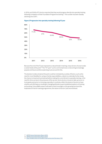In 2016, just 50.4% of F2 doctors reported that they would progress directly into specialty training following completion of their Foundation Programme training.17 This number has been steadily declining since 2011.



### **Figure 2 Progression into specialty training following F2 year**

Because the end of the F2 year represents a natural break in training, many doctors choose to take a career break at this point.<sup>18</sup> The "F3" year<sup>19</sup>, as it is commonly known, is becoming increasingly popular and future workforce planning must account for this.

The decision to take a break at this point could be motivated by a variety of factors, such as the need for more flexibility for caring or family responsibilities, a desire to undertake further study, the chance to travel and work abroad before making the commitment to specialty training, or the need for time out due to the pressures of the service. Some doctors choose to take up locum or trust grade posts prior to choosing a specialty. It could also reflect the desire of doctors to have a better work-life balance resulting in changing attitudes toward established patterns of training and working. Future BMA research will seek to shed more light on this growing trend and the implications it has for training programmes, the nature of doctors' jobs and workload.

19 <http://student.bmj.com/student/view-article.html?id=sbmj.i1125>

<sup>7</sup>

<sup>18</sup> [UKFPO Career Destination Report 2016](http://www.foundationprogramme.nhs.uk/news/story/careers-destination-report-2016)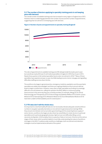# **5.2 The number of doctors applying to specialty training posts is not keeping pace with demand**

The overall number of available training posts has increased in every region in England since 2013. However, there is a widening gap between the number of posts and the number of appointments, suggesting that recruitment is not keeping pace with demand.





The ratio of appointments to available training posts (fill rate) generally fluctuates year to year but overall was nearly 6% lower for all medical specialties in England in 2016 than it was in 2013. Nearly three quarters of all medical specialties faced under-recruitment in 2016.<sup>20</sup> Many of these specialties have experienced year on year shortfalls leading to junior doctor rota gaps and signalling difficulties staffing services down the line.

The workforce shortages in general practice, emergency medicine, paediatrics and the psychiatric specialties are widely acknowledged, and there are ongoing initiatives at the local and national levels to begin to tackle them. However, many other smaller specialties are finding it increasingly difficult to recruit trainees too, calling into question the NHS' ability to continue providing these services in the same way they are currently provided. For example, Allergy (ST3), Clinical Pharmacology and Therapeutics (ST3), Endocrinology and Diabetes Mellitus (ST3), Genito-urinary Medicine (ST3), Haematology (ST3), Metabolic Medicine (ST3) and Rehabilitative Medicine (ST3) have been unable to fill all available posts for several years.<sup>21</sup>

### **5.3 Fill rates don't tell the whole story**

It is important to note that healthy fill rates do not necessarily indicate adequate overall workforce numbers in any given specialty (see below on recruitment to general practice training). While they are just one indicator and can provide a good starting point for projecting future supply of senior doctors, workforce shortages are also driven by overall failure to retain doctors in particular specialties and in particular geographical areas, high turnover and difficulties filling current vacancies at all grades. Unfortunately, there is a paucity of data on turnover of doctors at the various stages of their career which would be helpful in more fully understanding the nature of workforce shortages in the NHS. To address wider workforce challenges, both recruitment and retention strategies must be implemented at all levels of the system.

21 Specialty fill rates England 2013-2016, Health Education England[. www.bma.org.uk/medicalrecruitment](www.bma.org.uk/medicalrecruitment)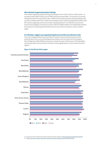# *Recruitment to general practice training*

The number of general practice training posts has grown from 2,761 in 2013 to 3,250 in 2016 – an increase of nearly 500. In 2016, just over 90% of these posts were filled – an increase of more than 160 appointments from the previous year.<sup>22</sup> While such increases should be viewed positively, they must be considered within the context of decreasing numbers of GPs working full time. With overall GP numbers stagnating, and record numbers nearing retirement<sup>23</sup>, it is difficult to see how the Government's pledge to increase the number of GPs by 5,000 by 2020 can be realistically achieved. It is therefore not surprising that the NHS is forced to recruit from overseas in order to meet its target.

### **5.4 Northern regions are experiencing the brunt of the recruitment crisis**

The north of England (North East, North West, Yorkshire and the Humber) experienced the lowest fill rates in the country indicating serious problems with recruitment in those regions. East of England and West Midlands have seen a steady decrease in fill rates since 2013 signalling a worsening problem with recruitment. Fill rates increase significantly in London and the southern regions.



# **Figure 4. Total fill rate (%) by region**

23 <https://www.bma.org.uk/news/2017/april/nearly-half-of-gps-plan-to-quit-finds-survey>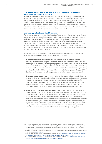# **5.5 There are steps that can be taken that may improve recruitment and retention in the short-medium term**

Robust recruitment initiatives and clear plans to help doctors stay working or return to working, particularly in shortage specialties, are essential. These plans must also support doctors to work safely and mitigate fatigue, stress and burnout, for example, by supporting guardians of safe working hours<sup>24</sup> and encouraging exception reporting.<sup>25</sup> While long-term fixes to address service pressures and increased investment in the medical workforce are needed to attract and keep the doctors we need to deliver safe and effective care, below are some other ways the system can make improvements that could aid recruitment and retention in the short-medium term.

### *Increase opportunities for flexible careers*

To make a real impact on recruitment and retention for trainees, as well as for more senior doctors, more must be done to enable flexile careers. Flexible working is becoming increasingly attractive to doctors wanting to diversify their work experience, including taking time out to study/ work overseas, as well as combining work and family life and opting for portfolio careers, including significant periods of locum work. For many younger doctors who will likely be working to 70 and beyond, flexible working offers practical, workforce retention benefits26. Flexible working includes not just part time working, but parental leave and carers leave, more flexibility around shift patterns, out of hours working and locum working.

Addressing these issues would make a practical difference to work life balance for doctors and could, importantly, increase the pool of doctors working in the NHS:

- **More affordable childcare that is flexible and available to cover out of hours work** The Academy of Medical Royal Colleges<sup>27</sup> has found that almost 70% of doctors surveyed reported no family support, indicating most are paying expensive private providers. This cost increases for out-of-hours childcare. The imposed 2016 junior doctor contract has compounded this problem, by decreasing the number of hours that now qualify for higher "unsociable hours" pay. Providing on-site quality, flexible childcare facilities could be one way that employers could support LTFT (less than full time) doctors in work, and potentially enable them to work longer/more shifts.
- **Shared parental and carers leave** While the right to shared parental leave exists in theory, in practice it still has very low take up. If the Government wants to change the culture to encourage more fathers to take parental leave, it must ensure that the occupational pay available for maternity leave is made available for shared parental leave in a way that will enable more fathers to utilize it in practice. Carers' leave would be an important recognition of people's caring responsibilities for older, frail and disabled relatives and allow many people to work longer.
- **More flexibility in part time medical roles** Currently the proportion of part time working permitted depends on the LETB (local education and training board), trust, speciality and grade, as well as restrictions set by the GMC (General Medical Council). LTFTs are often also restricted on the amount of out-of-hours work they can do. Many doctors would like a wider range of opportunities for part time working and if there were more flexibility some would be able to work more hours than they are currently contracted to. A pilot in Emergency Medicine, whereby all higher trainees were offered the opportunity to train LTFT at 50%, 60% or 80%, was launched in England this year. These trainees were not required to give a reason for wanting to train LTFT, unlike the current situation, where a well-founded reason must be given for approval.

<sup>24</sup> The guardian is responsible for overseeing compliance with the safeguards outlined in the 2016 terms and conditions of service for doctors and dentists in training. The role sits independently from the management structure, with a primary aim to represent and resolve issues related to working hours for the junior doctors employed by it. [Read more here.](https://www.bma.org.uk/advice/career/applying-for-a-job/guardian-of-safe-working-hours-role)

<sup>25</sup> Exception reporting allows trainees to quickly and easily flag up if their actual work has varied from their agreed work schedule. [Read more here](https://www.bma.org.uk/advice/employment/contracts/junior-doctor-contract-2016/exception-reporting).

<sup>26</sup> Review Body on Doctors and Dentists Remuneration 2017 report, [https://www.gov.uk/government/uploads/](https://www.gov.uk/government/uploads/system/uploads/attachment_data/file/602319/58665_DDRB_Book_Accessible.pdf) [system/uploads/attachment\\_data/file/602319/58665\\_DDRB\\_Book\\_Accessible.pdf](https://www.gov.uk/government/uploads/system/uploads/attachment_data/file/602319/58665_DDRB_Book_Accessible.pdf)

<sup>27</sup> "Maternity/Paternity Survey Results." Academy of Medical Royal Colleges, 2016. [http://www.aomrc.org.uk/](http://www.aomrc.org.uk/publications/reports-guidance/maternity-paternity-survey-results/) [publications/reports-guidance/maternity-paternity-survey-results/](http://www.aomrc.org.uk/publications/reports-guidance/maternity-paternity-survey-results/)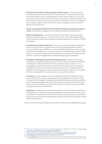- **Part time work should be a reality throughout medical careers** The evidence shows that despite many wanting to work part time, the vast majority<sup>28</sup> of consultant posts are only advertised as full time roles. As trainees advance in their careers, fewer opt to train LTFT; the numbers plateau at ST3 and then fall at more senior grades<sup>29</sup>. Similarly adopting a more flexible approach may well encourage many doctors to delay retirement. Encouraging part time working throughout medical careers will reduce the stigma of and discrimination against this working pattern.
- **Further extend opportunities for less than full time training and working into academic careers**, including by encouraging funders to support innovative job-sharing schemes.
- **Deferral of training posts**  Currently, according to the Gold Guide30, training can only be deferred for statutory reasons, or – recently for the first time – GP training in England. Giving trainees the option to defer their training posts would allow flexibility and could aid recruitment and retention.
- **Increased access to Out of Programme**  There are currently fairly stringent requirements that must be met in order to have approval for time out of a training programme, either for experience (OOPE), research (OOPR) or a career break (OOPC). Allowing trainees more capacity to take time out of programme, or to step on or step off, would allow trainees to explore outside interests, or to adapt their programme according to their personal needs. This would aid in the retention of doctors who might otherwise leave the training programme altogether.
- **Recognition of skills gained outside of training programmes** Currently, only training completed in a recognised training programme can count towards a Certificate of Completion of Training (CCT), which means that doctors with experience in other countries or in nontraining grade posts find that this experience is not included. Early assessment of a trainee's competencies, however, would mean that trainees' expertise can be recognised early, with potential for proceeding faster through training than they otherwise might have, in recognition of their pre-existing skills. This would also help to increase workforce numbers.
- **E-rostering**  Current arrangements for rostering shifts mean that LTFT trainees do not get advance notice of shifts and are not guaranteed the same shift patterns from week to week. They may therefore struggle to arrange shifts around fixed childcare and caring responsibilities, which e-rostering could potentially help to address. However, there are wider systemic issues that must also be considered to ensure trainees are able to access their rotas six weeks before starting a job as per the Code of Practice<sup>31</sup>.
- **Shift patterns**  Although many trainees work beyond the end of their shift the implications of finishing late for LTFT trainees with caring responsibilities can be extremely serious. No trainee should have to work beyond their rostered hours, and the culture whereby this is acceptable (to the point where some trainees are denigrated for leaving work on time) must change to enable a healthy work-life balance.

To learn more about flexible working and less than full time training, read the BMA's guidance [here.](https://www.bma.org.uk/advice/career/applying-for-training/flexible-training)

30 The [Gold Guide](https://www.copmed.org.uk/publications/the-gold-guide) is the reference guide for specialty training in the UK.

<sup>28</sup> Boney, Oliver. "Why male trainees should consider the flexible option." BMJ Careers, 20 Feb 2013. [http://careers.](http://careers.bmj.com/careers/advice/view-article.html?id=20010962#ref7) [bmj.com/careers/advice/view-article.html?id=20010962#ref7](http://careers.bmj.com/careers/advice/view-article.html?id=20010962#ref7)

<sup>29</sup> GMC NTS survey results, 2013 quoted in BMA less than full time training guidance, appendix 2 <https://www.bma.org.uk/advice/career/applying-for-training/flexible-training/what-is-ltft>

<sup>31</sup> The [Code of Practice](https://www.bma.org.uk/advice/employment/contracts/juniors-contracts/accepting-jobs/code-of-practice) lays out the agreed set of information that recruiting organisations and employers should provide to doctors in training at each stage of the recruitment process, the first post and subsequent rotations.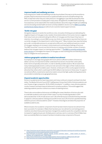### *Improve health and wellbeing services*

Improving doctors' health and wellbeing must also be prioritised. One way to do this would be to provide a fully functional and resourced occupational health service for all staff working in the NHS, to help them when they are under pressure or struggling to cope with the demands of the service. Current provision is inadequate in many areas. Alongside this, the BMA itself is exploring how awareness can be raised within the medical profession about the range of health and wellbeing services (including mental health services) currently available to doctors such as [BMA Counselling](https://www.bma.org.uk/advice/work-life-support/your-wellbeing/bma-counselling-and-doctor-advisor-service)  [and the Doctor Advisor Service](https://www.bma.org.uk/advice/work-life-support/your-wellbeing/bma-counselling-and-doctor-advisor-service) as well as trust or practice-based support services.

# *Tackle rota gaps*

Alongside measures to tackle the workforce crisis, innovative thinking around alleviating the negative impacts of rota gaps is also needed. Anecdotal evidence from junior doctors suggests that many trusts are underestimating the effects of rota gaps and the impact they have on retention. According to a recent BMA survey, two thirds of respondents reported that there are currently rota gaps in the department in which they work.32 Many trainees have reported being put under considerable pressure to accept extra shifts and cover additional wards as a result of rota gaps, leading to an increase in stress levels and contributing to feelings of burnout. The GMC found that "around one third of doctors in training, and a similar number of trainers, believe that rota gaps impact on training opportunities".<sup>33</sup> The BMA is currently working with [junior doctors](https://www.bma.org.uk/connecting-doctors/my_working_life/b/weblog/posts/bma-rota-gaps-focus-groups) to investigate the impact of rota gaps on their working lives and identify possible ways to mitigate the worst pressures.

### *Address geographic variation in medical recruitment*

As employers in shortage areas grapple with how to attract sufficient numbers of doctors to deliver a service, it is important to better understand how doctors choose their career paths, both in terms of specialty and location, in order to identify possible solutions. We are aware that many medical graduates tend to continue to train and work in the region of their medical school, particularly during their foundation years. However, certain parts of the country appear to be less attractive than others which could impair the NHS' ability to train doctors in these areas. To support recruitment efforts, investments need to be made to ensure that high-quality training placements are provided consistently across geographical areas.

### *Expand academic opportunities*

Doctors in academia tend to have long careers and many continue to research and teach into their sixties. The Medical Schools Council 2017 staffing report shows that 34.4% of clinical academics are over 54 years of age compared to 18.2% of NHS consultants<sup>34</sup>. In addition, many clinical academics conduct research and teach beyond retirement in emeritus positions. This would suggest that widening academic practice could act as a means of retaining doctors.

There is also some evidence that we are not fulfilling the career intentions of doctors who wish to undertake academic work as part of their career. A survey of medical graduates in 2014 demonstrated that 13.5% of male doctors and 7.3% of female doctors indicated that they intended to apply for a clinical academic training post and 6% of men and 2.2% of women specified that they wished to pursue a clinical academic career<sup>35</sup>. However, these figures are below the proportion of available academic jobs.

Where inclusion of an academic component of work has been tried to improve recruitment it has been successful. For example, in Wales there has been poor recruitment to core training posts in medicine, but where these posts have been changed into academic posts the competition ratio has increased to 5 applicants per post. Similarly posts in primary care in a rural area of North Wales have been successfully filled once research has been included as a key component of the post.

- 34 <https://www.medschools.ac.uk/media/2026/medical-clinical-academic-staffing-levels-2017.pdf>
- 35 <http://pmj.bmj.com/content/early/2014/08/18/postgradmedj-2014-132681>

<sup>32</sup> [https://www.bma.org.uk/collective-voice/policy-and-research/education-training-and-workforce/quarterly](https://www.bma.org.uk/collective-voice/policy-and-research/education-training-and-workforce/quarterly-survey/quarterly-survey-results/quarterly-survey-q2-2017)[survey/quarterly-survey-results/quarterly-survey-q2-2017](https://www.bma.org.uk/collective-voice/policy-and-research/education-training-and-workforce/quarterly-survey/quarterly-survey-results/quarterly-survey-q2-2017)

<sup>33</sup> http://www.gmc-uk.org/2017\_national\_training\_surveys\_summary\_report\_\_\_initial\_results\_on\_doctors [training\\_and\\_progression.pdf\\_71003116.pdf](http://www.gmc-uk.org/2017_national_training_surveys_summary_report___initial_results_on_doctors__training_and_progression.pdf_71003116.pdf)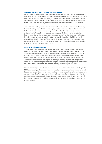# *Maintain the NHS' ability to recruit from overseas*

Of particular concern is whether citizens from the rest of the EU will continue to come to the UK to study, train and work in medicine in the years following the UK's exit from the European Union. More than 10,000 doctors are currently working in the NHS, representing nearly 7% of the UK medical workforce. Any drop in numbers will only further exacerbate recruitment challenges and it is clear that the NHS will continue to rely on overseas recruitment, whether from the EU or elsewhere.

The BMA has called for permanent residence for all EEA doctors (and their families) currently living and working in the UK. We are also urging the Government to allow sufficient stay for EEA medical students currently studying in the UK to allow them to complete their courses and continue to foundation and specialty training posts. Finally, we must ensure that any future immigration system and approach to mutual recognition of professional qualifications is flexible enough to allow for recruitment of overseas doctors where the NHS cannot fill posts with qualified UK nationals. This should include undertaking a review of the Shortage Occupation List, which does not currently include all high-risk medical specialties or creating bespoke arrangements for the healthcare sector.

### *Improve workforce planning*

Substantive workforce planning at a national level, supported by high quality data, is essential to ensure that the future healthcare workforce is sufficiently staffed and has the flexibility to be able to deliver care in different locations as required, without leaving parts of the health service inappropriately or under-staffed. Despite this, workforce planning has been devolved to HEE's regional structures, LWABs (Local Workforce Action Boards), to support STPs (Sustainability and Transformation Partnerships) although many are only in the early stages of collecting data and developing workforce strategies. This risks making future workforce planning even more difficult as STPs may not consider the impact of their local strategy on their neighbouring areas.

Workforce planning and recruitment are complex processes with multidimensional challenges. The NHS has chronically under-recruited to some specialties and geographical areas and more needs to be done to understand and plan for current and future workforce needs as well as take into account new ways of working. This paper has identified a variety of things that can be done in the short to medium term to help plug gaps in the workforce and retain doctors currently working in the NHS, but a long term strategy for a flexible and sustainable workforce that is valued and treated fairly is urgently needed.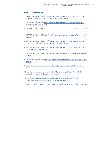# **Footnotes for tables 1-4**

- 1 UKFPO Annual Report 2013. [http://www.foundationprogramme.nhs.uk/news/story/ukfpo](http://www.foundationprogramme.nhs.uk/news/story/ukfpo-publishes-2013-fp-annual-report-and-f2-career-destination-report)[publishes-2013-fp-annual-report-and-f2-career-destination-report](http://www.foundationprogramme.nhs.uk/news/story/ukfpo-publishes-2013-fp-annual-report-and-f2-career-destination-report)
- 2 UKFPO Annual Report 2014 [http://www.foundationprogramme.nhs.uk/news/story/ukfpo](http://www.foundationprogramme.nhs.uk/news/story/ukfpo-publishes-fp-annual-report-2014)[publishes-fp-annual-report-2014](http://www.foundationprogramme.nhs.uk/news/story/ukfpo-publishes-fp-annual-report-2014)
- 3 UKFPO Annual Report 2015. [http://www.foundationprogramme.nhs.uk/pages/resource-bank/](http://www.foundationprogramme.nhs.uk/pages/resource-bank/general) [general](http://www.foundationprogramme.nhs.uk/pages/resource-bank/general)
- 4 UKFPO Annual Report 2016. [http://www.foundationprogramme.nhs.uk/pages/resource-bank/](http://www.foundationprogramme.nhs.uk/pages/resource-bank/general) [general](http://www.foundationprogramme.nhs.uk/pages/resource-bank/general)
- 5 UKFPO Annual Report 2013. [http://www.foundationprogramme.nhs.uk/news/story/ukfpo](http://www.foundationprogramme.nhs.uk/news/story/ukfpo-publishes-2013-fp-annual-report-and-f2-career-destination-report)[publishes-2013-fp-annual-report-and-f2-career-destination-report](http://www.foundationprogramme.nhs.uk/news/story/ukfpo-publishes-2013-fp-annual-report-and-f2-career-destination-report)
- 6 UKFPO Annual Report 2014. [http://www.foundationprogramme.nhs.uk/news/story/ukfpo](http://www.foundationprogramme.nhs.uk/news/story/ukfpo-publishes-fp-annual-report-2014)[publishes-fp-annual-report-2014](http://www.foundationprogramme.nhs.uk/news/story/ukfpo-publishes-fp-annual-report-2014)
- 7 UKFPO Annual Report 2015. [http://www.foundationprogramme.nhs.uk/pages/resource-bank/](http://www.foundationprogramme.nhs.uk/pages/resource-bank/general) [general](http://www.foundationprogramme.nhs.uk/pages/resource-bank/general)
- 8 UKFPO Annual Report 2016. [http://www.foundationprogramme.nhs.uk/pages/resource-bank/](http://www.foundationprogramme.nhs.uk/pages/resource-bank/general) [general](http://www.foundationprogramme.nhs.uk/pages/resource-bank/general)
- 9 http://careers.bmj.com/careers/advice/Applying\_to\_specialty\_training%3A\_considering the competition
- 10 [http://careers.bmj.com/careers/advice/Specialty\\_training\\_applications\\_for\\_2015%3A\\_](http://careers.bmj.com/careers/advice/Specialty_training_applications_for_2015%3A_competition_ratios_and_changes_to_the_process) competition ratios and changes to the process
- 11 [http://careers.bmj.com/careers/advice/Specialty\\_training\\_applications\\_for\\_entry\\_](http://careers.bmj.com/careers/advice/Specialty_training_applications_for_entry_in_2016%3A_competition_ratios_and_the_application_process) [in\\_2016%3A\\_competition\\_ratios\\_and\\_the\\_application\\_process](http://careers.bmj.com/careers/advice/Specialty_training_applications_for_entry_in_2016%3A_competition_ratios_and_the_application_process)
- 12 [https://specialtytraining.hee.nhs.uk/Portals/1/Competition%20Ratios%202016%20ST1\\_1.pdf](https://specialtytraining.hee.nhs.uk/Portals/1/Competition Ratios 2016 ST1_1.pdf)